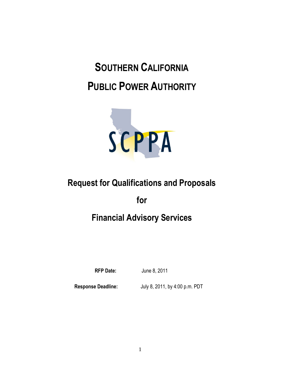# **SOUTHERN CALIFORNIA PUBLIC POWER AUTHORITY**



# **Request for Qualifications and Proposals**

**for**

# **Financial Advisory Services**

**RFP Date:** June 8, 2011

**Response Deadline:** July 8, 2011, by 4:00 p.m. PDT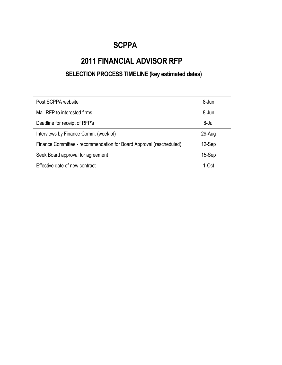### **SCPPA**

## **2011 FINANCIAL ADVISOR RFP**

### **SELECTION PROCESS TIMELINE (key estimated dates)**

| Post SCPPA website                                                  | 8-Jun    |
|---------------------------------------------------------------------|----------|
| Mail RFP to interested firms                                        | 8-Jun    |
| Deadline for receipt of RFP's                                       | 8-Jul    |
| Interviews by Finance Comm. (week of)                               | 29-Aug   |
| Finance Committee - recommendation for Board Approval (rescheduled) | 12-Sep   |
| Seek Board approval for agreement                                   | 15-Sep   |
| Effective date of new contract                                      | 1- $Oct$ |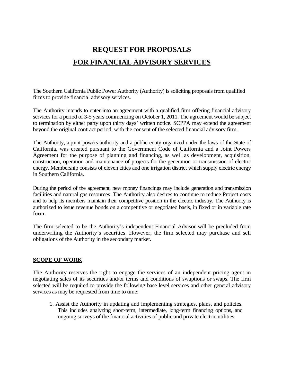## **REQUEST FOR PROPOSALS FOR FINANCIAL ADVISORY SERVICES**

The Southern California Public Power Authority (Authority) is soliciting proposals from qualified firms to provide financial advisory services.

The Authority intends to enter into an agreement with a qualified firm offering financial advisory services for a period of 3-5 years commencing on October 1, 2011. The agreement would be subject to termination by either party upon thirty days' written notice. SCPPA may extend the agreement beyond the original contract period, with the consent of the selected financial advisory firm.

The Authority, a joint powers authority and a public entity organized under the laws of the State of California, was created pursuant to the Government Code of California and a Joint Powers Agreement for the purpose of planning and financing, as well as development, acquisition, construction, operation and maintenance of projects for the generation or transmission of electric energy. Membership consists of eleven cities and one irrigation district which supply electric energy in Southern California.

During the period of the agreement, new money financings may include generation and transmission facilities and natural gas resources. The Authority also desires to continue to reduce Project costs and to help its members maintain their competitive position in the electric industry. The Authority is authorized to issue revenue bonds on a competitive or negotiated basis, in fixed or in variable rate form.

The firm selected to be the Authority's independent Financial Advisor will be precluded from underwriting the Authority's securities. However, the firm selected may purchase and sell obligations of the Authority in the secondary market.

#### **SCOPE OF WORK**

The Authority reserves the right to engage the services of an independent pricing agent in negotiating sales of its securities and/or terms and conditions of swaptions or swaps. The firm selected will be required to provide the following base level services and other general advisory services as may be requested from time to time:

1. Assist the Authority in updating and implementing strategies, plans, and policies. This includes analyzing short-term, intermediate, long-term financing options, and ongoing surveys of the financial activities of public and private electric utilities.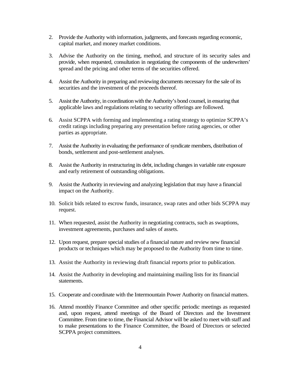- 2. Provide the Authority with information, judgments, and forecasts regarding economic, capital market, and money market conditions.
- 3. Advise the Authority on the timing, method, and structure of its security sales and provide, when requested, consultation in negotiating the components of the underwriters' spread and the pricing and other terms of the securities offered.
- 4. Assist the Authority in preparing and reviewing documents necessary for the sale of its securities and the investment of the proceeds thereof.
- 5. Assist the Authority, in coordination with the Authority's bond counsel, in ensuring that applicable laws and regulations relating to security offerings are followed.
- 6. Assist SCPPA with forming and implementing a rating strategy to optimize SCPPA's credit ratings including preparing any presentation before rating agencies, or other parties as appropriate.
- 7. Assist the Authority in evaluating the performance of syndicate members, distribution of bonds, settlement and post-settlement analyses.
- 8. Assist the Authority in restructuring its debt, including changes in variable rate exposure and early retirement of outstanding obligations.
- 9. Assist the Authority in reviewing and analyzing legislation that may have a financial impact on the Authority.
- 10. Solicit bids related to escrow funds, insurance, swap rates and other bids SCPPA may request.
- 11. When requested, assist the Authority in negotiating contracts, such as swaptions, investment agreements, purchases and sales of assets.
- 12. Upon request, prepare special studies of a financial nature and review new financial products or techniques which may be proposed to the Authority from time to time.
- 13. Assist the Authority in reviewing draft financial reports prior to publication.
- 14. Assist the Authority in developing and maintaining mailing lists for its financial statements.
- 15. Cooperate and coordinate with the Intermountain Power Authority on financial matters.
- 16. Attend monthly Finance Committee and other specific periodic meetings as requested and, upon request, attend meetings of the Board of Directors and the Investment Committee. From time to time, the Financial Advisor will be asked to meet with staff and to make presentations to the Finance Committee, the Board of Directors or selected SCPPA project committees.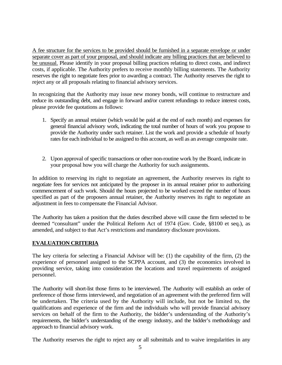A fee structure for the services to be provided should be furnished in a separate envelope or under separate cover as part of your proposal, and should indicate any billing practices that are believed to be unusual. Please identify in your proposal billing practices relating to direct costs, and indirect costs, if applicable. The Authority prefers to receive monthly billing statements. The Authority reserves the right to negotiate fees prior to awarding a contract. The Authority reserves the right to reject any or all proposals relating to financial advisory services.

In recognizing that the Authority may issue new money bonds, will continue to restructure and reduce its outstanding debt, and engage in forward and/or current refundings to reduce interest costs, please provide fee quotations as follows:

- 1. Specify an annual retainer (which would be paid at the end of each month) and expenses for general financial advisory work, indicating the total number of hours of work you propose to provide the Authority under such retainer. List the work and provide a schedule of hourly rates for each individual to be assigned to this account, as well as an average composite rate.
- 2. Upon approval of specific transactions or other non-routine work by the Board, indicate in your proposal how you will charge the Authority for such assignments.

In addition to reserving its right to negotiate an agreement, the Authority reserves its right to negotiate fees for services not anticipated by the proposer in its annual retainer prior to authorizing commencement of such work. Should the hours projected to be worked exceed the number of hours specified as part of the proposers annual retainer, the Authority reserves its right to negotiate an adjustment in fees to compensate the Financial Advisor.

The Authority has taken a position that the duties described above will cause the firm selected to be deemed "consultant" under the Political Reform Act of 1974 (Gov. Code, §8100 et seq.), as amended, and subject to that Act's restrictions and mandatory disclosure provisions.

#### **EVALUATION CRITERIA**

The key criteria for selecting a Financial Advisor will be: (1) the capability of the firm, (2) the experience of personnel assigned to the SCPPA account, and (3) the economics involved in providing service, taking into consideration the locations and travel requirements of assigned personnel.

The Authority will short-list those firms to be interviewed. The Authority will establish an order of preference of those firms interviewed, and negotiation of an agreement with the preferred firm will be undertaken. The criteria used by the Authority will include, but not be limited to, the qualifications and experience of the firm and the individuals who will provide financial advisory services on behalf of the firm to the Authority, the bidder's understanding of the Authority's requirements, the bidder's understanding of the energy industry, and the bidder's methodology and approach to financial advisory work.

The Authority reserves the right to reject any or all submittals and to waive irregularities in any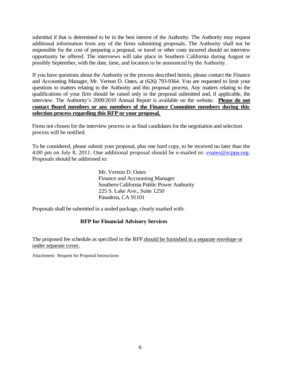submittal if that is determined to be in the best interest of the Authority. The Authority may request additional information from any of the firms submitting proposals. The Authority shall not be responsible for the cost of preparing a proposal, or travel or other costs incurred should an interview opportunity be offered. The interviews will take place in Southern California during August or possibly September, with the date, time, and location to be announced by the Authority.

If you have questions about the Authority or the process described herein, please contact the Finance and Accounting Manager, Mr. Vernon D. Oates, at (626) 793-9364. You are requested to limit your questions to matters relating to the Authority and this proposal process. Any matters relating to the qualifications of your firm should be raised only in the proposal submitted and, if applicable, the interview. The Authority's 2009/2010 Annual Report is available on the website. **Please do not contact Board members or any members of the Finance Committee members during this selection process regarding this RFP or your proposal.**

Firms not chosen for the interview process or as final candidates for the negotiation and selection process will be notified.

To be considered, please submit your proposal, plus one hard copy, to be received no later than the 4:00 pm on July 8, 2011. One additional proposal should be e-mailed to: [voates@scppa.org.](mailto:voates@scppa.org) Proposals should be addressed to:

> Mr. Vernon D. Oates Finance and Accounting Manager Southern California Public Power Authority 225 S. Lake Ave., Suite 1250 Pasadena, CA 91101

Proposals shall be submitted in a sealed package, clearly marked with:

#### **RFP for Financial Advisory Services**

The proposed fee schedule as specified in the RFP should be furnished in a separate envelope or under separate cover.

Attachment: Request for Proposal Instructions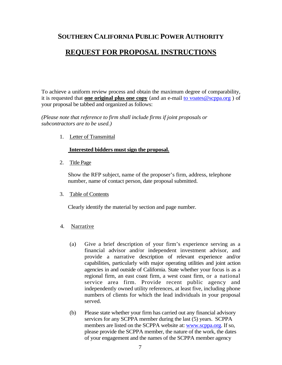### **SOUTHERN CALIFORNIA PUBLIC POWER AUTHORITY**

### **REQUEST FOR PROPOSAL INSTRUCTIONS**

To achieve a uniform review process and obtain the maximum degree of comparability, it is requested that **one original plus one copy** (and an e-mail [to voates@scppa.org](mailto:to%20voates@scppa.org) ) of your proposal be tabbed and organized as follows:

*(Please note that reference to firm shall include firms if joint proposals or subcontractors are to be used.)*

1. Letter of Transmittal

#### **Interested bidders must sign the proposal.**

2. Title Page

Show the RFP subject, name of the proposer's firm, address, telephone number, name of contact person, date proposal submitted.

3. Table of Contents

Clearly identify the material by section and page number.

- 4. Narrative
	- (a) Give a brief description of your firm's experience serving as a financial advisor and/or independent investment advisor, and provide a narrative description of relevant experience and/or capabilities, particularly with major operating utilities and joint action agencies in and outside of California. State whether your focus is as a regional firm, an east coast firm, a west coast firm, or a national service area firm. Provide recent public agency and independently owned utility references, at least five, including phone numbers of clients for which the lead individuals in your proposal served.
	- (b) Please state whether your firm has carried out any financial advisory services for any SCPPA member during the last (5) years. SCPPA members are listed on the SCPPA website at: [www.scppa.org](http://www.scppa.org/). If so, please provide the SCPPA member, the nature of the work, the dates of your engagement and the names of the SCPPA member agency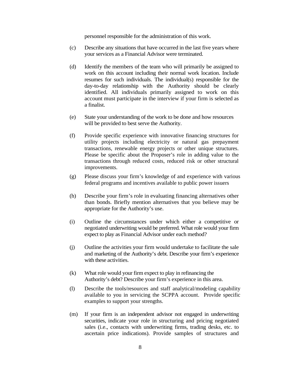personnel responsible for the administration of this work.

- (c) Describe any situations that have occurred in the last five years where your services as a Financial Advisor were terminated.
- (d) Identify the members of the team who will primarily be assigned to work on this account including their normal work location. Include resumes for such individuals. The individual(s) responsible for the day-to-day relationship with the Authority should be clearly identified. All individuals primarily assigned to work on this account must participate in the interview if your firm is selected as a finalist.
- (e) State your understanding of the work to be done and how resources will be provided to best serve the Authority.
- (f) Provide specific experience with innovative financing structures for utility projects including electricity or natural gas prepayment transactions, renewable energy projects or other unique structures. Please be specific about the Proposer's role in adding value to the transactions through reduced costs, reduced risk or other structural improvements.
- (g) Please discuss your firm's knowledge of and experience with various federal programs and incentives available to public power issuers
- (h) Describe your firm's role in evaluating financing alternatives other than bonds. Briefly mention alternatives that you believe may be appropriate for the Authority's use.
- (i) Outline the circumstances under which either a competitive or negotiated underwriting would be preferred. What role would your firm expect to play as Financial Advisor under each method?
- (j) Outline the activities your firm would undertake to facilitate the sale and marketing of the Authority's debt. Describe your firm's experience with these activities.
- (k) What role would your firm expect to play in refinancing the Authority's debt? Describe your firm's experience in this area.
- (l) Describe the tools/resources and staff analytical/modeling capability available to you in servicing the SCPPA account. Provide specific examples to support your strengths.
- (m) If your firm is an independent advisor not engaged in underwriting securities, indicate your role in structuring and pricing negotiated sales (i.e., contacts with underwriting firms, trading desks, etc. to ascertain price indications). Provide samples of structures and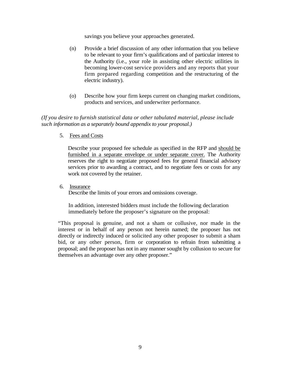savings you believe your approaches generated.

- (n) Provide a brief discussion of any other information that you believe to be relevant to your firm's qualifications and of particular interest to the Authority (i.e., your role in assisting other electric utilities in becoming lower-cost service providers and any reports that your firm prepared regarding competition and the restructuring of the electric industry).
- (o) Describe how your firm keeps current on changing market conditions, products and services, and underwriter performance.

*(If you desire to furnish statistical data or other tabulated material, please include such information as a separately bound appendix to your proposal.)*

5. Fees and Costs

Describe your proposed fee schedule as specified in the RFP and should be furnished in a separate envelope or under separate cover. The Authority reserves the right to negotiate proposed fees for general financial advisory services prior to awarding a contract, and to negotiate fees or costs for any work not covered by the retainer.

6. Insurance

Describe the limits of your errors and omissions coverage.

In addition, interested bidders must include the following declaration immediately before the proposer's signature on the proposal:

"This proposal is genuine, and not a sham or collusive, nor made in the interest or in behalf of any person not herein named; the proposer has not directly or indirectly induced or solicited any other proposer to submit a sham bid, or any other person, firm or corporation to refrain from submitting a proposal; and the proposer has not in any manner sought by collusion to secure for themselves an advantage over any other proposer."